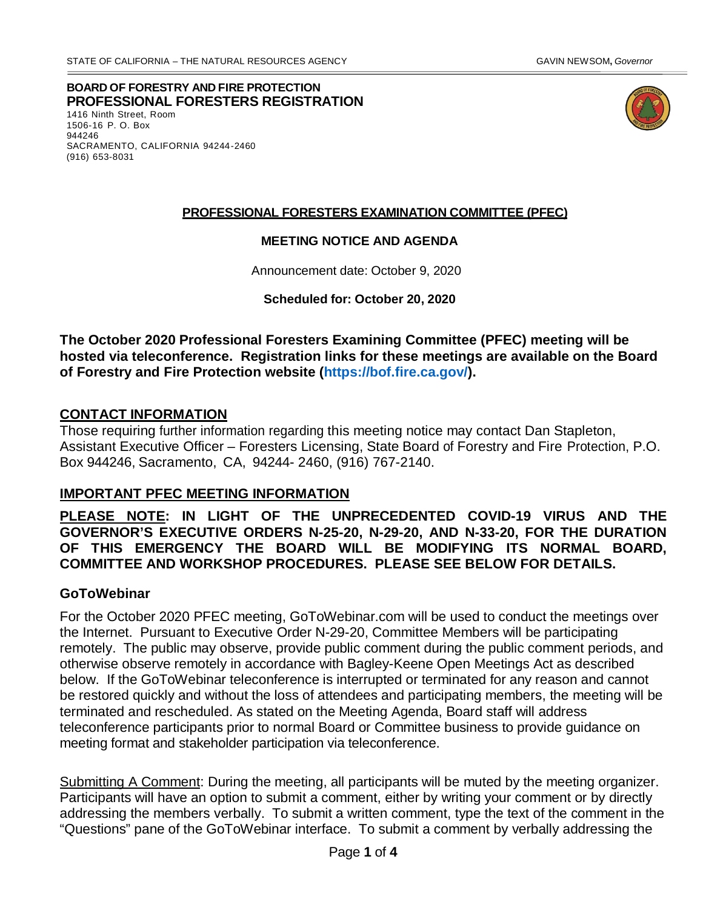**BOARD OF FORESTRY AND FIRE PROTECTION PROFESSIONAL FORESTERS REGISTRATION** 1416 Ninth Street, Room



1506-16 P. O. Box 944246 SACRAMENTO, CALIFORNIA 94244-2460 (916) 653-8031

### **PROFESSIONAL FORESTERS EXAMINATION COMMITTEE (PFEC)**

#### **MEETING NOTICE AND AGENDA**

Announcement date: October 9, 2020

**Scheduled for: October 20, 2020**

**The October 2020 Professional Foresters Examining Committee (PFEC) meeting will be hosted via teleconference. Registration links for these meetings are available on the Board of Forestry and Fire Protection website [\(https://bof.fire.ca.gov/\)](https://bof.fire.ca.gov/).** 

### **CONTACT INFORMATION**

Those requiring further information regarding this meeting notice may contact Dan Stapleton, Assistant Executive Officer – Foresters Licensing, State Board of Forestry and Fire Protection, P.O. Box 944246, Sacramento, CA, 94244- 2460, (916) 767-2140.

#### **IMPORTANT PFEC MEETING INFORMATION**

**PLEASE NOTE: IN LIGHT OF THE UNPRECEDENTED COVID-19 VIRUS AND THE GOVERNOR'S EXECUTIVE ORDERS N-25-20, N-29-20, AND N-33-20, FOR THE DURATION OF THIS EMERGENCY THE BOARD WILL BE MODIFYING ITS NORMAL BOARD, COMMITTEE AND WORKSHOP PROCEDURES. PLEASE SEE BELOW FOR DETAILS.**

#### **GoToWebinar**

For the October 2020 PFEC meeting, GoToWebinar.com will be used to conduct the meetings over the Internet. Pursuant to Executive Order N-29-20, Committee Members will be participating remotely. The public may observe, provide public comment during the public comment periods, and otherwise observe remotely in accordance with Bagley-Keene Open Meetings Act as described below. If the GoToWebinar teleconference is interrupted or terminated for any reason and cannot be restored quickly and without the loss of attendees and participating members, the meeting will be terminated and rescheduled. As stated on the Meeting Agenda, Board staff will address teleconference participants prior to normal Board or Committee business to provide guidance on meeting format and stakeholder participation via teleconference.

Submitting A Comment: During the meeting, all participants will be muted by the meeting organizer. Participants will have an option to submit a comment, either by writing your comment or by directly addressing the members verbally. To submit a written comment, type the text of the comment in the "Questions" pane of the GoToWebinar interface. To submit a comment by verbally addressing the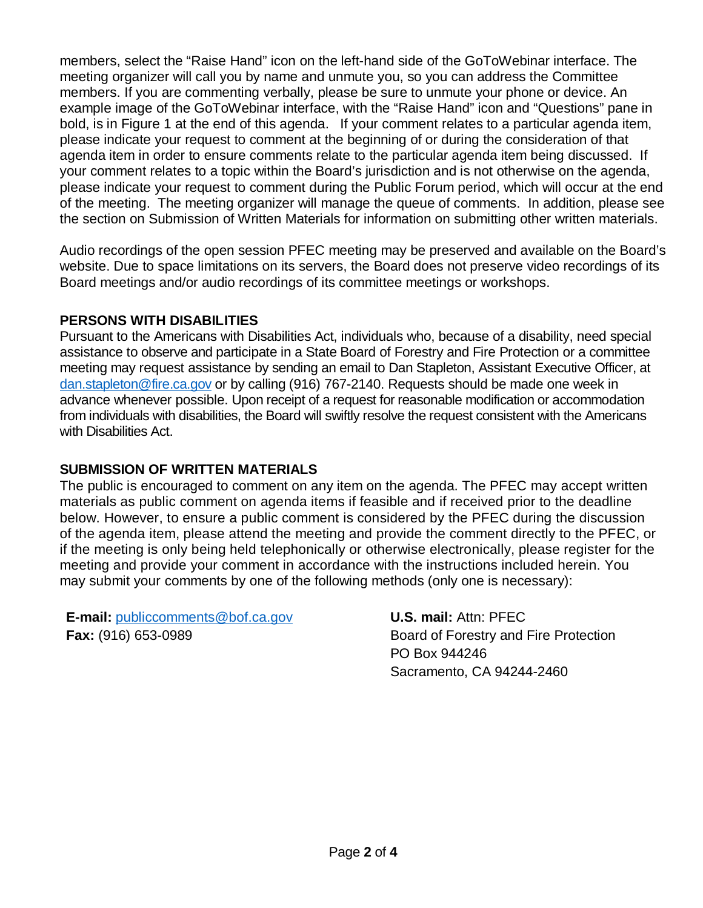members, select the "Raise Hand" icon on the left-hand side of the GoToWebinar interface. The meeting organizer will call you by name and unmute you, so you can address the Committee members. If you are commenting verbally, please be sure to unmute your phone or device. An example image of the GoToWebinar interface, with the "Raise Hand" icon and "Questions" pane in bold, is in Figure 1 at the end of this agenda. If your comment relates to a particular agenda item, please indicate your request to comment at the beginning of or during the consideration of that agenda item in order to ensure comments relate to the particular agenda item being discussed. If your comment relates to a topic within the Board's jurisdiction and is not otherwise on the agenda, please indicate your request to comment during the Public Forum period, which will occur at the end of the meeting. The meeting organizer will manage the queue of comments. In addition, please see the section on Submission of Written Materials for information on submitting other written materials.

Audio recordings of the open session PFEC meeting may be preserved and available on the Board's website. Due to space limitations on its servers, the Board does not preserve video recordings of its Board meetings and/or audio recordings of its committee meetings or workshops.

# **PERSONS WITH DISABILITIES**

Pursuant to the Americans with Disabilities Act, individuals who, because of a disability, need special assistance to observe and participate in a State Board of Forestry and Fire Protection or a committee meeting may request assistance by sending an email to Dan Stapleton, Assistant Executive Officer, at dan.stapleton@fire.ca.gov or by calling (916) 767-2140. Requests should be made one week in advance whenever possible. Upon receipt of a request for reasonable modification or accommodation from individuals with disabilities, the Board will swiftly resolve the request consistent with the Americans with Disabilities Act.

# **SUBMISSION OF WRITTEN MATERIALS**

The public is encouraged to comment on any item on the agenda. The PFEC may accept written materials as public comment on agenda items if feasible and if received prior to the deadline below. However, to ensure a public comment is considered by the PFEC during the discussion of the agenda item, please attend the meeting and provide the comment directly to the PFEC, or if the meeting is only being held telephonically or otherwise electronically, please register for the meeting and provide your comment in accordance with the instructions included herein. You may submit your comments by one of the following methods (only one is necessary):

**E-mail:** [publiccomments@bof.ca.gov](mailto:publiccomments@bof.ca.gov) **Fax:** (916) 653-0989

**U.S. mail:** Attn: PFEC Board of Forestry and Fire Protection PO Box 944246 Sacramento, CA 94244-2460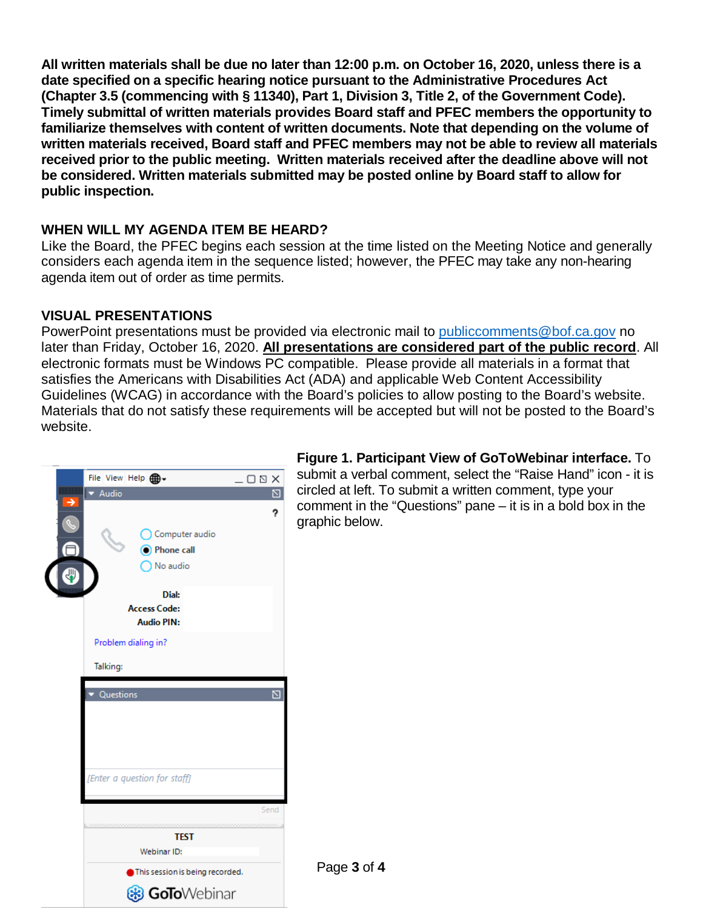**All written materials shall be due no later than 12:00 p.m. on October 16, 2020, unless there is a date specified on a specific hearing notice pursuant to the Administrative Procedures Act (Chapter 3.5 (commencing with § 11340), Part 1, Division 3, Title 2, of the Government Code). Timely submittal of written materials provides Board staff and PFEC members the opportunity to familiarize themselves with content of written documents. Note that depending on the volume of written materials received, Board staff and PFEC members may not be able to review all materials received prior to the public meeting. Written materials received after the deadline above will not be considered. Written materials submitted may be posted online by Board staff to allow for public inspection.** 

# **WHEN WILL MY AGENDA ITEM BE HEARD?**

Like the Board, the PFEC begins each session at the time listed on the Meeting Notice and generally considers each agenda item in the sequence listed; however, the PFEC may take any non-hearing agenda item out of order as time permits.

# **VISUAL PRESENTATIONS**

PowerPoint presentations must be provided via electronic mail to [publiccomments@bof.ca.gov](mailto:publiccomments@bof.ca.gov) no later than Friday, October 16, 2020. **All presentations are considered part of the public record**. All electronic formats must be Windows PC compatible. Please provide all materials in a format that satisfies the Americans with Disabilities Act (ADA) and applicable Web Content Accessibility Guidelines (WCAG) in accordance with the Board's policies to allow posting to the Board's website. Materials that do not satisfy these requirements will be accepted but will not be posted to the Board's website.



**Figure 1. Participant View of GoToWebinar interface.** To submit a verbal comment, select the "Raise Hand" icon - it is circled at left. To submit a written comment, type your comment in the "Questions" pane – it is in a bold box in the graphic below.